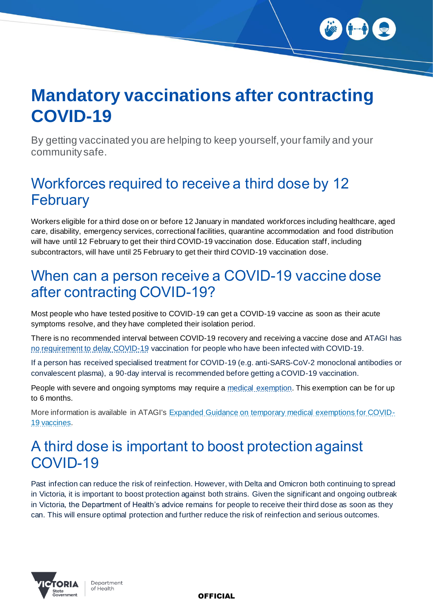

# **Mandatory vaccinations after contracting COVID-19**

By getting vaccinated you are helping to keep yourself, your family and your community safe.

## Workforces required to receive a third dose by 12 **February**

Workers eligible for a third dose on or before 12 January in mandated workforces including healthcare, aged care, disability, emergency services, correctional facilities, quarantine accommodation and food distribution will have until 12 February to get their third COVID-19 vaccination dose. Education staff, including subcontractors, will have until 25 February to get their third COVID-19 vaccination dose.

#### When can a person receive a COVID-19 vaccine dose after contracting COVID-19?

Most people who have tested positive to COVID-19 can get a COVID-19 vaccine as soon as their acute symptoms resolve, and they have completed their isolation period.

There is no recommended interval between COVID-19 recovery and receiving a vaccine dose and ATAGI has no requirement to delay COVID-19 vaccination for people who have been infected with COVID-19.

If a person has received specialised treatment for COVID-19 (e.g. anti-SARS-CoV-2 monoclonal antibodies or convalescent plasma), a 90-day interval is recommended before getting a COVID-19 vaccination.

People with severe and ongoing symptoms may require a medical exemption. This exemption can be for up to 6 months.

More information is available in ATAGI's Expanded Guidance on temporary medical exemptions for COVID-19 vaccines.

## A third dose is important to boost protection against COVID-19

Past infection can reduce the risk of reinfection. However, with Delta and Omicron both continuing to spread in Victoria, it is important to boost protection against both strains. Given the significant and ongoing outbreak in Victoria, the Department of Health's advice remains for people to receive their third dose as soon as they can. This will ensure optimal protection and further reduce the risk of reinfection and serious outcomes.



Department of Health

**OFFICIAL**